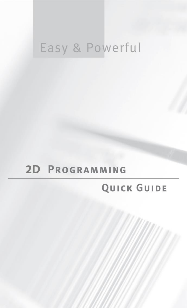# Easy & Powerful

## 2D PROGRAMMING

### QUICK GUIDE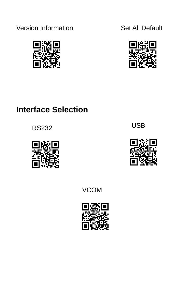Version Information Set All Default





### **Interface Selection**

RS232



USB



VCOM

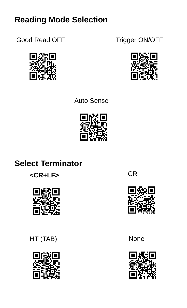### **Reading Mode Selection**

Good Read OFF Trigger ON/OFF





Auto Sense



### **Select Terminator**





HT (TAB) None



CR



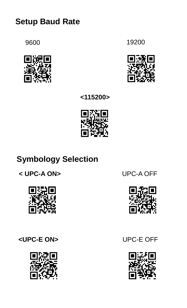### **Setup Baud Rate**







**<115200>**



### **Symbology Selection**

**< UPC-A ON>** UPC-A OFF



#### **<UPC-E ON>** UPC-E OFF





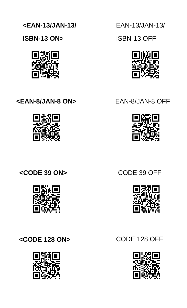

**<CODE 128 ON>** CODE 128 OFF



**<CODE 39 ON>** CODE 39 OFF



**<EAN-8/JAN-8 ON>** EAN-8/JAN-8 OFF



**ISBN-13 ON>**

**<EAN-13/JAN-13/**

EAN-13/JAN-13/

ISBN-13 OFF







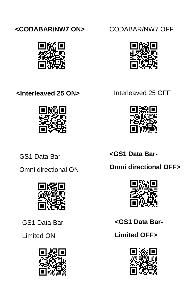



**<Interleaved 25 ON>** Interleaved 25 OFF



GS1 Data Bar-

Omni directional ON



GS1 Data Bar-

Limited ON







**<GS1 Data Bar-**

**Omni directional OFF>**



**<GS1 Data Bar-**

**Limited OFF>**

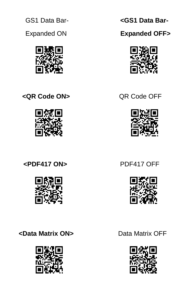GS1 Data Bar-

Expanded ON



**<QR Code ON>** QR Code OFF



**<PDF417 ON>** PDF417 OFF



**<Data Matrix ON>** Data Matrix OFF



 **<GS1 Data Bar-**

 **Expanded OFF>**







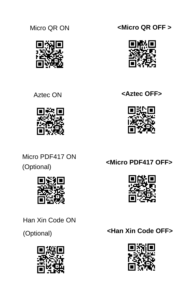



Micro PDF417 ON (Optional)



Han Xin Code ON

(Optional)



Micro QR ON **<Micro QR OFF >**







**<Micro PDF417 OFF>**



**<Han Xin Code OFF>**

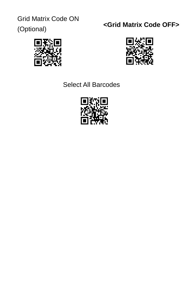Grid Matrix Code ON

(Optional)

### **<Grid Matrix Code OFF>**





#### Select All Barcodes

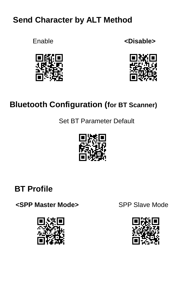### **Send Character by ALT Method**







### **Bluetooth Configuration (for BT Scanner)**

Set BT Parameter Default



### **BT Profile**

**<SPP Master Mode>** SPP Slave Mode



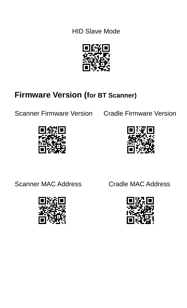HID Slave Mode



### **Firmware Version (for BT Scanner)**

Scanner Firmware Version Cradle Firmware Version





Scanner MAC Address Cradle MAC Address